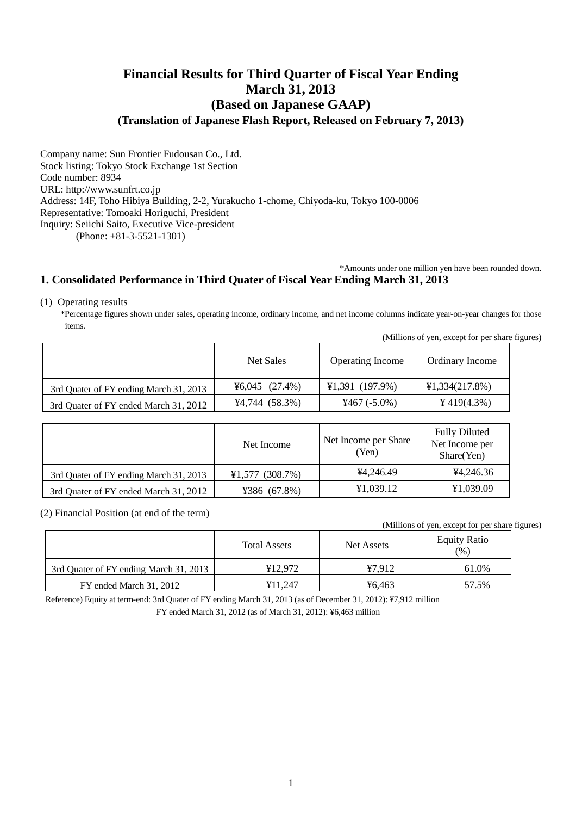# **Financial Results for Third Quarter of Fiscal Year Ending March 31, 2013 (Based on Japanese GAAP) (Translation of Japanese Flash Report, Released on February 7, 2013)**

Company name: Sun Frontier Fudousan Co., Ltd. Stock listing: Tokyo Stock Exchange 1st Section Code number: 8934 URL: http://www.sunfrt.co.jp Address: 14F, Toho Hibiya Building, 2-2, Yurakucho 1-chome, Chiyoda-ku, Tokyo 100-0006 Representative: Tomoaki Horiguchi, President Inquiry: Seiichi Saito, Executive Vice-president (Phone: +81-3-5521-1301)

\*Amounts under one million yen have been rounded down.

## **1. Consolidated Performance in Third Quater of Fiscal Year Ending March 31, 2013**

(1) Operating results

\*Percentage figures shown under sales, operating income, ordinary income, and net income columns indicate year-on-year changes for those items.

| (Millions of yen, except for per share figures) |                                 |                         |                 |  |
|-------------------------------------------------|---------------------------------|-------------------------|-----------------|--|
|                                                 | Net Sales                       | <b>Operating Income</b> | Ordinary Income |  |
| 3rd Quater of FY ending March 31, 2013          | $\text{\textless}6,045$ (27.4%) | $¥1,391$ (197.9%)       | ¥1,334(217.8%)  |  |
| 3rd Quater of FY ended March 31, 2012           | $4,744$ (58.3%)                 | $4467(-5.0\%)$          | ¥419 $(4.3\%)$  |  |

|                                        | Net Income      | Net Income per Share<br>(Yen) | <b>Fully Diluted</b><br>Net Income per<br>Share(Yen) |
|----------------------------------------|-----------------|-------------------------------|------------------------------------------------------|
| 3rd Quater of FY ending March 31, 2013 | ¥1,577(308.7%)  | ¥4.246.49                     | ¥4.246.36                                            |
| 3rd Quater of FY ended March 31, 2012  | ¥386 $(67.8\%)$ | ¥1,039.12                     | ¥1,039.09                                            |

(2) Financial Position (at end of the term)

(Millions of yen, except for per share figures) Total Assets Net Assets Equity Ratio (%) 3rd Quater of FY ending March 31, 2013 **\*** 12,972 **\***  $\frac{47,912}$  61.0% FY ended March 31, 2012 ¥11,247 ¥6,463 57.5%

Reference) Equity at term-end: 3rd Quater of FY ending March 31, 2013 (as of December 31, 2012): ¥7,912 million

FY ended March 31, 2012 (as of March 31, 2012): ¥6,463 million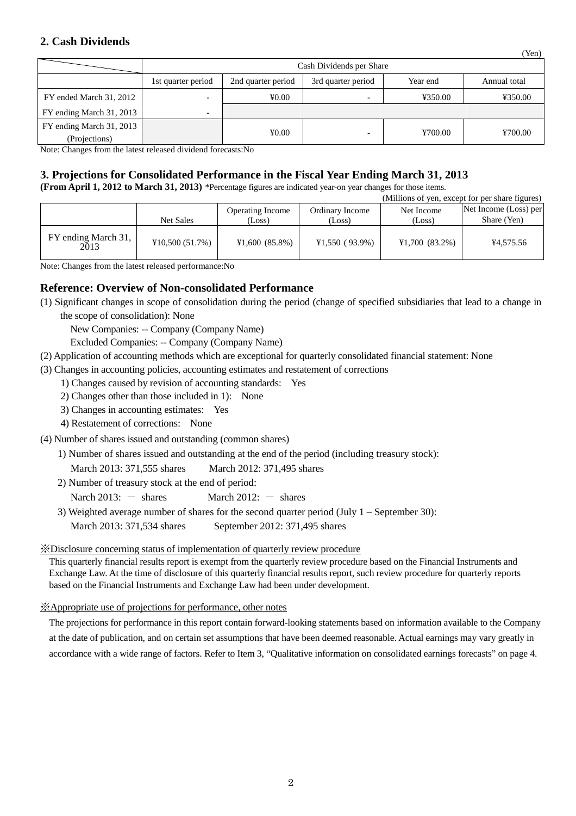## **2. Cash Dividends**

|                          | Cash Dividends per Share |                    |                    |          |              |
|--------------------------|--------------------------|--------------------|--------------------|----------|--------------|
|                          | 1st quarter period       | 2nd quarter period | 3rd quarter period | Year end | Annual total |
| FY ended March 31, 2012  | -                        | 40.00              |                    | ¥350.00  | ¥350.00      |
| FY ending March 31, 2013 |                          |                    |                    |          |              |
| FY ending March 31, 2013 |                          |                    |                    |          | ¥700.00      |
| (Projections)            |                          | 40.00              |                    | ¥700.00  |              |

(Yen)

Note: Changes from the latest released dividend forecasts:No

## **3. Projections for Consolidated Performance in the Fiscal Year Ending March 31, 2013**

**(From April 1, 2012 to March 31, 2013)** \*Percentage figures are indicated year-on year changes for those items.

|                             |                |                                   |                           |                      | (Millions of yen, except for per share figures) |
|-----------------------------|----------------|-----------------------------------|---------------------------|----------------------|-------------------------------------------------|
|                             | Net Sales      | <b>Operating Income</b><br>(Loss) | Ordinary Income<br>(Loss) | Net Income<br>(Loss) | Net Income (Loss) per<br>Share (Yen)            |
| FY ending March 31,<br>2013 | ¥10,500(51.7%) | ¥1,600(85.8%)                     | ¥1,550(93.9%)             | $¥1,700$ (83.2%)     | ¥4,575.56                                       |

Note: Changes from the latest released performance:No

## **Reference: Overview of Non-consolidated Performance**

(1) Significant changes in scope of consolidation during the period (change of specified subsidiaries that lead to a change in the scope of consolidation): None

New Companies: -- Company (Company Name)

Excluded Companies: -- Company (Company Name)

(2) Application of accounting methods which are exceptional for quarterly consolidated financial statement: None

(3) Changes in accounting policies, accounting estimates and restatement of corrections

- 1) Changes caused by revision of accounting standards: Yes
- 2) Changes other than those included in 1): None
- 3) Changes in accounting estimates: Yes
- 4) Restatement of corrections: None
- (4) Number of shares issued and outstanding (common shares)

1) Number of shares issued and outstanding at the end of the period (including treasury stock):

March 2013: 371,555 shares March 2012: 371,495 shares

2) Number of treasury stock at the end of period:

Narch 2013:  $-$  shares March 2012:  $-$  shares

3) Weighted average number of shares for the second quarter period (July 1 – September 30):

March 2013: 371,534 shares September 2012: 371,495 shares

### ※Disclosure concerning status of implementation of quarterly review procedure

This quarterly financial results report is exempt from the quarterly review procedure based on the Financial Instruments and Exchange Law. At the time of disclosure of this quarterly financial results report, such review procedure for quarterly reports based on the Financial Instruments and Exchange Law had been under development.

### ※Appropriate use of projections for performance, other notes

The projections for performance in this report contain forward-looking statements based on information available to the Company at the date of publication, and on certain set assumptions that have been deemed reasonable. Actual earnings may vary greatly in accordance with a wide range of factors. Refer to Item 3, "Qualitative information on consolidated earnings forecasts" on page 4.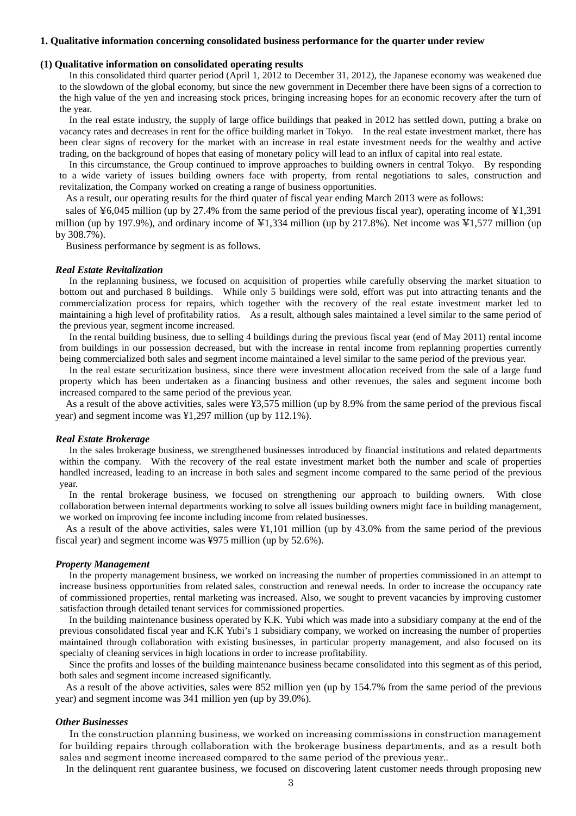#### **1. Qualitative information concerning consolidated business performance for the quarter under review**

#### **(1) Qualitative information on consolidated operating results**

In this consolidated third quarter period (April 1, 2012 to December 31, 2012), the Japanese economy was weakened due to the slowdown of the global economy, but since the new government in December there have been signs of a correction to the high value of the yen and increasing stock prices, bringing increasing hopes for an economic recovery after the turn of the year.

In the real estate industry, the supply of large office buildings that peaked in 2012 has settled down, putting a brake on vacancy rates and decreases in rent for the office building market in Tokyo. In the real estate investment market, there has been clear signs of recovery for the market with an increase in real estate investment needs for the wealthy and active trading, on the background of hopes that easing of monetary policy will lead to an influx of capital into real estate.

In this circumstance, the Group continued to improve approaches to building owners in central Tokyo. By responding to a wide variety of issues building owners face with property, from rental negotiations to sales, construction and revitalization, the Company worked on creating a range of business opportunities.

As a result, our operating results for the third quater of fiscal year ending March 2013 were as follows:

sales of ¥6,045 million (up by 27.4% from the same period of the previous fiscal year), operating income of ¥1,391 million (up by 197.9%), and ordinary income of  $\frac{1}{2}1,334$  million (up by 217.8%). Net income was  $\frac{1}{2}1,577$  million (up by 308.7%).

Business performance by segment is as follows.

#### *Real Estate Revitalization*

In the replanning business, we focused on acquisition of properties while carefully observing the market situation to bottom out and purchased 8 buildings. While only 5 buildings were sold, effort was put into attracting tenants and the commercialization process for repairs, which together with the recovery of the real estate investment market led to maintaining a high level of profitability ratios. As a result, although sales maintained a level similar to the same period of the previous year, segment income increased.

In the rental building business, due to selling 4 buildings during the previous fiscal year (end of May 2011) rental income from buildings in our possession decreased, but with the increase in rental income from replanning properties currently being commercialized both sales and segment income maintained a level similar to the same period of the previous year.

In the real estate securitization business, since there were investment allocation received from the sale of a large fund property which has been undertaken as a financing business and other revenues, the sales and segment income both increased compared to the same period of the previous year.

As a result of the above activities, sales were ¥3,575 million (up by 8.9% from the same period of the previous fiscal year) and segment income was ¥1,297 million (up by 112.1%).

#### *Real Estate Brokerage*

In the sales brokerage business, we strengthened businesses introduced by financial institutions and related departments within the company. With the recovery of the real estate investment market both the number and scale of properties handled increased, leading to an increase in both sales and segment income compared to the same period of the previous year.

In the rental brokerage business, we focused on strengthening our approach to building owners. With close collaboration between internal departments working to solve all issues building owners might face in building management, we worked on improving fee income including income from related businesses.

As a result of the above activities, sales were ¥1,101 million (up by 43.0% from the same period of the previous fiscal year) and segment income was ¥975 million (up by 52.6%).

#### *Property Management*

In the property management business, we worked on increasing the number of properties commissioned in an attempt to increase business opportunities from related sales, construction and renewal needs. In order to increase the occupancy rate of commissioned properties, rental marketing was increased. Also, we sought to prevent vacancies by improving customer satisfaction through detailed tenant services for commissioned properties.

In the building maintenance business operated by K.K. Yubi which was made into a subsidiary company at the end of the previous consolidated fiscal year and K.K Yubi's 1 subsidiary company, we worked on increasing the number of properties maintained through collaboration with existing businesses, in particular property management, and also focused on its specialty of cleaning services in high locations in order to increase profitability.

Since the profits and losses of the building maintenance business became consolidated into this segment as of this period, both sales and segment income increased significantly.

As a result of the above activities, sales were 852 million yen (up by 154.7% from the same period of the previous year) and segment income was 341 million yen (up by 39.0%).

#### *Other Businesses*

In the construction planning business, we worked on increasing commissions in construction management for building repairs through collaboration with the brokerage business departments, and as a result both sales and segment income increased compared to the same period of the previous year..

In the delinquent rent guarantee business, we focused on discovering latent customer needs through proposing new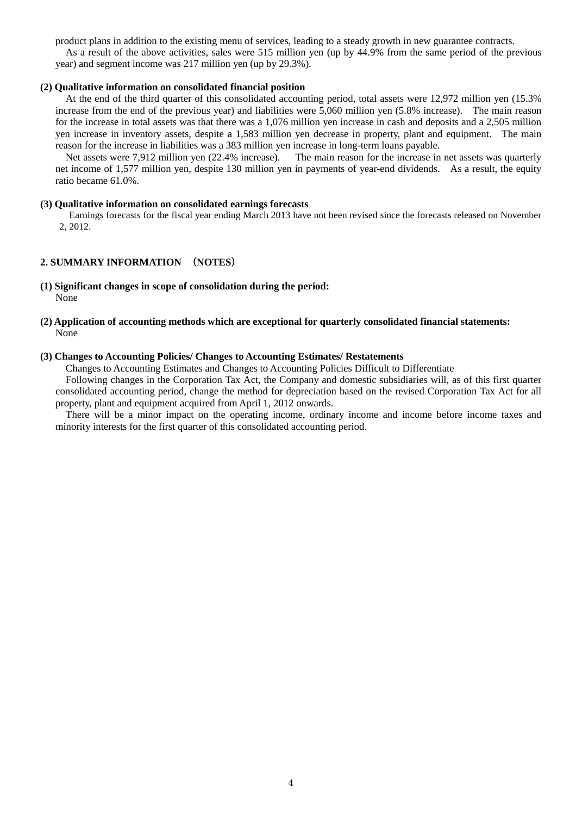product plans in addition to the existing menu of services, leading to a steady growth in new guarantee contracts.

As a result of the above activities, sales were 515 million yen (up by 44.9% from the same period of the previous year) and segment income was 217 million yen (up by 29.3%).

### **(2) Qualitative information on consolidated financial position**

At the end of the third quarter of this consolidated accounting period, total assets were 12,972 million yen (15.3% increase from the end of the previous year) and liabilities were 5,060 million yen (5.8% increase). The main reason for the increase in total assets was that there was a 1,076 million yen increase in cash and deposits and a 2,505 million yen increase in inventory assets, despite a 1,583 million yen decrease in property, plant and equipment. The main reason for the increase in liabilities was a 383 million yen increase in long-term loans payable.

Net assets were 7,912 million yen (22.4% increase). The main reason for the increase in net assets was quarterly net income of 1,577 million yen, despite 130 million yen in payments of year-end dividends. As a result, the equity ratio became 61.0%.

### **(3) Qualitative information on consolidated earnings forecasts**

Earnings forecasts for the fiscal year ending March 2013 have not been revised since the forecasts released on November 2, 2012.

### **2. SUMMARY INFORMATION** (**NOTES**)

- **(1) Significant changes in scope of consolidation during the period:**  None
- **(2) Application of accounting methods which are exceptional for quarterly consolidated financial statements:**  None

## **(3) Changes to Accounting Policies/ Changes to Accounting Estimates/ Restatements**

Changes to Accounting Estimates and Changes to Accounting Policies Difficult to Differentiate

Following changes in the Corporation Tax Act, the Company and domestic subsidiaries will, as of this first quarter consolidated accounting period, change the method for depreciation based on the revised Corporation Tax Act for all property, plant and equipment acquired from April 1, 2012 onwards.

There will be a minor impact on the operating income, ordinary income and income before income taxes and minority interests for the first quarter of this consolidated accounting period.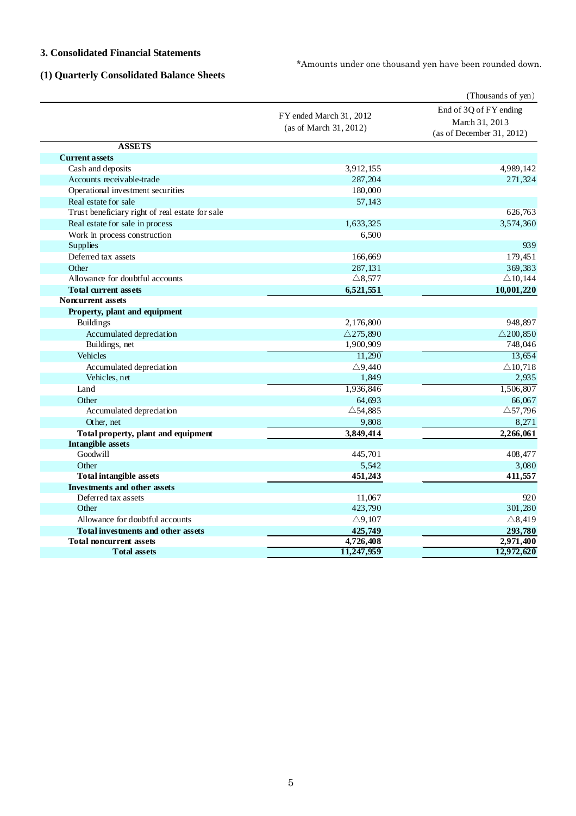## **3. Consolidated Financial Statements**

\*Amounts under one thousand yen have been rounded down.

# **(1) Quarterly Consolidated Balance Sheets**

|                                                 |                                                      | (Thousands of yen)                                                    |
|-------------------------------------------------|------------------------------------------------------|-----------------------------------------------------------------------|
|                                                 | FY ended March 31, 2012<br>(as of March $31, 2012$ ) | End of 3Q of FY ending<br>March 31, 2013<br>(as of December 31, 2012) |
| <b>ASSETS</b>                                   |                                                      |                                                                       |
| <b>Current assets</b>                           |                                                      |                                                                       |
| Cash and deposits                               | 3,912,155                                            | 4,989,142                                                             |
| Accounts receivable-trade                       | 287,204                                              | 271,324                                                               |
| Operational investment securities               | 180,000                                              |                                                                       |
| Real estate for sale                            | 57,143                                               |                                                                       |
| Trust beneficiary right of real estate for sale |                                                      | 626,763                                                               |
| Real estate for sale in process                 | 1,633,325                                            | 3,574,360                                                             |
| Work in process construction                    | 6,500                                                |                                                                       |
| Supplies                                        |                                                      | 939                                                                   |
| Deferred tax assets                             | 166,669                                              | 179,451                                                               |
| Other                                           | 287,131                                              | 369,383                                                               |
| Allowance for doubtful accounts                 | $\triangle$ 8,577                                    | $\triangle$ 10,144                                                    |
| <b>Total current assets</b>                     | 6,521,551                                            | 10,001,220                                                            |
| <b>Noncurrent assets</b>                        |                                                      |                                                                       |
| Property, plant and equipment                   |                                                      |                                                                       |
| <b>Buildings</b>                                | 2,176,800                                            | 948,897                                                               |
| Accumulated depreciation                        | $\triangle$ 275,890                                  | $\triangle$ 200,850                                                   |
| Buildings, net                                  | 1,900,909                                            | 748,046                                                               |
| Vehicles                                        | 11,290                                               | 13,654                                                                |
| Accumulated depreciation                        | $\triangle$ 9,440                                    | $\triangle$ 10,718                                                    |
| Vehicles, net                                   | 1,849                                                | 2,935                                                                 |
| Land                                            | 1,936,846                                            | 1,506,807                                                             |
| Other                                           | 64,693                                               | 66,067                                                                |
| Accumulated depreciation                        | $\triangle$ 54,885                                   | $\triangle$ 57,796                                                    |
| Other, net                                      | 9,808                                                | 8,271                                                                 |
| Total property, plant and equipment             | 3,849,414                                            | 2,266,061                                                             |
| <b>Intangible assets</b>                        |                                                      |                                                                       |
| Goodwill                                        | 445,701                                              | 408,477                                                               |
| Other                                           | 5,542                                                | 3,080                                                                 |
| <b>Total intangible assets</b>                  | 451,243                                              | 411,557                                                               |
| <b>Investments and other assets</b>             |                                                      |                                                                       |
| Deferred tax assets                             | 11,067                                               | 920                                                                   |
| Other                                           | 423,790                                              | 301,280                                                               |
| Allowance for doubtful accounts                 | $\triangle$ 9,107                                    | $\triangle$ 8,419                                                     |
| <b>Total investments and other assets</b>       | 425,749                                              | 293,780                                                               |
| <b>Total noncurrent assets</b>                  | 4,726,408                                            | 2,971,400                                                             |
| <b>Total assets</b>                             | 11,247,959                                           | 12,972,620                                                            |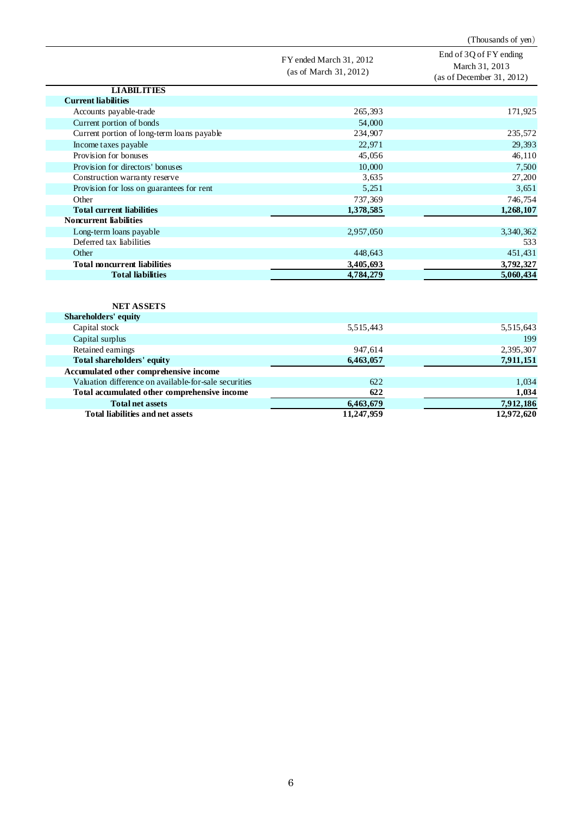FY ended March 31, 2012 (as of March 31, 2012) End of 3Q of FY ending March 31, 2013 (as of December 31, 2012) **LIABILITIES Current liabilities** Accounts payable-trade 265,393 171,925 Current portion of bonds 54,000<br>Current portion of long-term loans payable 234,907 Current portion of long-term loans payable 234,907 235,572 Income taxes payable 22,971 29,393 Provision for bonuses 45,056 46,110 Provision for directors' bonuses 10,000 7,500 7,500 7,500 7,500 7,500 7,500 7,500 7,500 7,500 7,500 7,500 7,500 7,500 7,500 7,500 7,500 7,500 7,500 7,500 7,500 7,500 7,500 7,500 7,500 7,500 7,500 7,500 7,500 7,500 7,500 7, Construction warranty reserve Provision for loss on guarantees for rent 5,251 3,651<br>Other 737,369 746,754 Other 737,369 746,754 **Total current liabilities 1,378,585 1,268,107 Noncurrent liabilities** Long-term loans payable 2,957,050 3,340,362 Deferred tax liabilities 533 Other 448,643 451,431 **Total noncurrent liabilities 3,405,693 3,792,327**<br> **3,792,327**<br> **3,600,434 Total liabilities 4,784,279 5,060,434**

(Thousands of yen)

### **NET ASSETS**

| <b>Shareholders' equity</b>                           |            |            |
|-------------------------------------------------------|------------|------------|
| Capital stock                                         | 5,515,443  | 5,515,643  |
| Capital surplus                                       |            | 199        |
| Retained earnings                                     | 947,614    | 2,395,307  |
| Total shareholders' equity                            | 6,463,057  | 7,911,151  |
| Accumulated other comprehensive income                |            |            |
| Valuation difference on available-for-sale securities | 622        | 1,034      |
| Total accumulated other comprehensive income          | 622        | 1,034      |
| <b>Total net assets</b>                               | 6,463,679  | 7,912,186  |
| Total liabilities and net assets                      | 11,247,959 | 12,972,620 |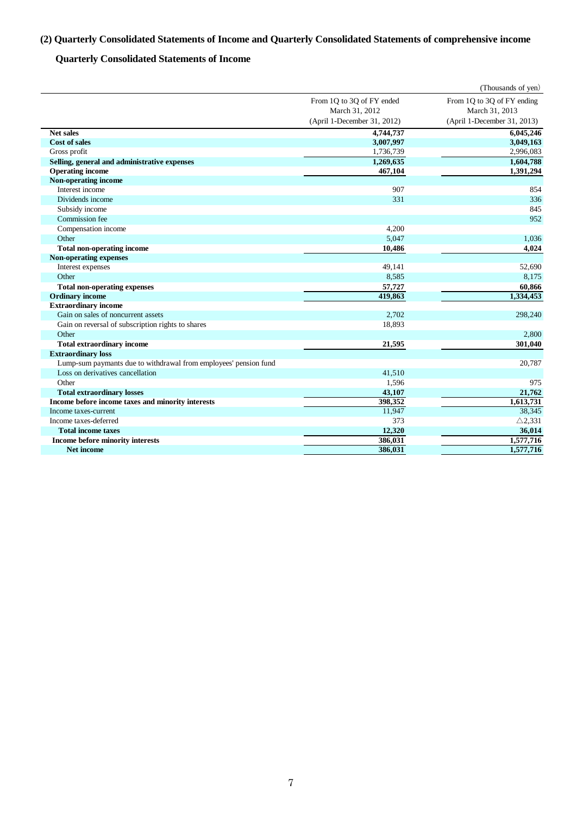# **(2) Quarterly Consolidated Statements of Income and Quarterly Consolidated Statements of comprehensive income**

## **Quarterly Consolidated Statements of Income**

|                                                                  |                             | (Thousands of yen)          |
|------------------------------------------------------------------|-----------------------------|-----------------------------|
|                                                                  | From 1Q to 3Q of FY ended   | From 1Q to 3Q of FY ending  |
|                                                                  | March 31, 2012              | March 31, 2013              |
|                                                                  | (April 1-December 31, 2012) | (April 1-December 31, 2013) |
| Net sales                                                        | 4,744,737                   | 6,045,246                   |
| <b>Cost of sales</b>                                             | 3,007,997                   | 3,049,163                   |
| Gross profit                                                     | 1,736,739                   | 2,996,083                   |
| Selling, general and administrative expenses                     | 1,269,635                   | 1,604,788                   |
| <b>Operating income</b>                                          | 467,104                     | 1,391,294                   |
| Non-operating income                                             |                             |                             |
| Interest income                                                  | 907                         | 854                         |
| Dividends income                                                 | 331                         | 336                         |
| Subsidy income                                                   |                             | 845                         |
| Commission fee                                                   |                             | 952                         |
| Compensation income                                              | 4,200                       |                             |
| Other                                                            | 5,047                       | 1,036                       |
| <b>Total non-operating income</b>                                | 10,486                      | 4,024                       |
| <b>Non-operating expenses</b>                                    |                             |                             |
| Interest expenses                                                | 49,141                      | 52,690                      |
| Other                                                            | 8,585                       | 8,175                       |
| <b>Total non-operating expenses</b>                              | 57,727                      | 60,866                      |
| <b>Ordinary income</b>                                           | 419,863                     | 1,334,453                   |
| <b>Extraordinary income</b>                                      |                             |                             |
| Gain on sales of noncurrent assets                               | 2,702                       | 298,240                     |
| Gain on reversal of subscription rights to shares                | 18,893                      |                             |
| Other                                                            |                             | 2,800                       |
| <b>Total extraordinary income</b>                                | 21,595                      | 301,040                     |
| <b>Extraordinary loss</b>                                        |                             |                             |
| Lump-sum paymants due to withdrawal from employees' pension fund |                             | 20,787                      |
| Loss on derivatives cancellation                                 | 41,510                      |                             |
| Other                                                            | 1,596                       | 975                         |
| <b>Total extraordinary losses</b>                                | 43,107                      | 21,762                      |
| Income before income taxes and minority interests                | 398,352                     | 1,613,731                   |
| Income taxes-current                                             | 11,947                      | 38,345                      |
| Income taxes-deferred                                            | 373                         | $\triangle$ 2,331           |
| <b>Total income taxes</b>                                        | 12,320                      | 36,014                      |
| Income before minority interests                                 | 386,031                     | 1,577,716                   |
| <b>Net income</b>                                                | 386,031                     | 1,577,716                   |